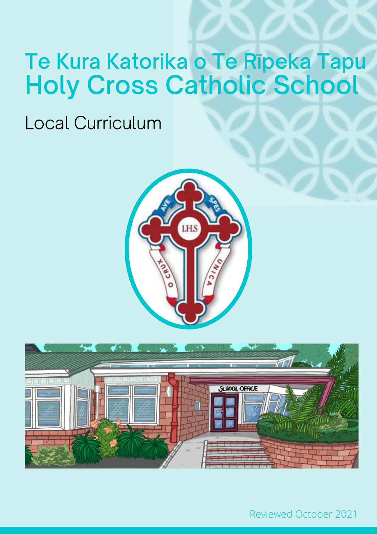# Te Kura Katorika o Te Rīpeka Tapu Holy Cross Catholic School

## Local Curriculum





Reviewed October 2021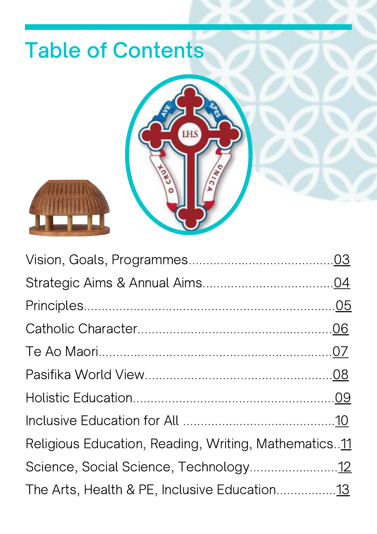# Table of Contents





| Religious Education, Reading, Writing, Mathematics11 |  |
|------------------------------------------------------|--|
| Science, Social Science, Technology12                |  |
|                                                      |  |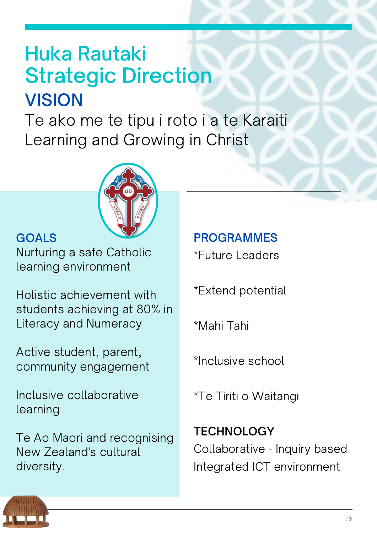# <span id="page-2-0"></span>**VISION** Huka Rautaki Strategic Direction

Te ako me te tipu i roto i a te Karaiti Learning and Growing in Christ



### GOALS

Nurturing a safe Catholic learning environment

Holistic achievement with students achieving at 80% in Literacy and Numeracy

Active student, parent, community engagement

Inclusive collaborative learning

Te Ao Maori and recognising New Zealand's cultural diversity.

PROGRAMMES \*Future Leaders

\*Extend potential

\*Mahi Tahi

\*Inclusive school

\*Te Tiriti o Waitangi

**TECHNOLOGY** Collaborative - Inquiry based Integrated ICT environment

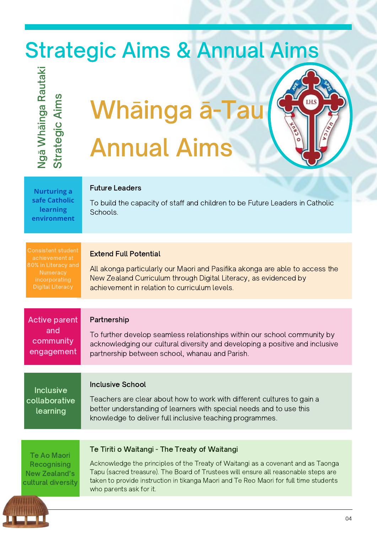# <span id="page-3-0"></span>Strategic Aims & Annual Aims

Z  $\mathbf{\Omega}$ ιØ  $\bm{\gtrless}$ 그 āin  $\mathbf{\Omega}$ **d**  $\mathbf{\Omega}$ **d** uta $\mathbf{\Sigma}$ ၯ trategic Aim ഗ

# Whāinga ā-T Annual Aims

**Nurturing a safe Catholic learning environment**

### Future Leaders

To build the capacity of staff and children to be Future Leaders in Catholic Schools.

**LHS** 

80% in Literacy and

### Extend Full Potential

All akonga particularly our Maori and Pasifika akonga are able to access the New Zealand Curriculum through Digital Literacy, as evidenced by achievement in relation to curriculum levels.

Partnership To further develop seamless relationships within our school community by acknowledging our cultural diversity and developing a positive and inclusive partnership between school, whanau and Parish. Active parent and community engagement

### Inclusive School

Teachers are clear about how to work with different cultures to gain a better understanding of learners with special needs and to use this knowledge to deliver full inclusive teaching programmes. Inclusive collaborative learning

Te Ao Maori **Recognising** New Zealand's cultural diversity

### Te Tiriti o Waitangi - The Treaty of Waitangi

Acknowledge the principles of the Treaty of Waitangi as a covenant and as Taonga Tapu (sacred treasure). The Board of Trustees will ensure all reasonable steps are taken to provide instruction in tikanga Maori and Te Reo Maori for full time students who parents ask for it.

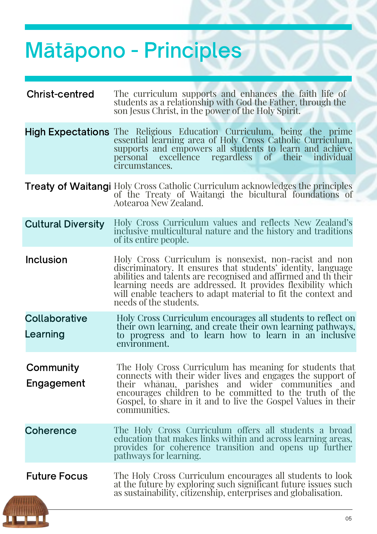# <span id="page-4-0"></span>Mātāpono - Principles

| <b>Christ-centred</b>     | The curriculum supports and enhances the faith life of<br>students as a relationship with God the Father, through the<br>son Jesus Christ, in the power of the Holy Spirit.                                                                                                                                                                         |
|---------------------------|-----------------------------------------------------------------------------------------------------------------------------------------------------------------------------------------------------------------------------------------------------------------------------------------------------------------------------------------------------|
|                           | <b>High Expectations</b> The Religious Education Curriculum, being the prime<br>essential learning area of Holy Cross Catholic Curriculum,<br>supports and empowers all students to learn and achieve<br>of their individual<br>personal excellence regardless<br>circumstances.                                                                    |
|                           | <b>Treaty of Waitangi</b> Holy Cross Catholic Curriculum acknowledges the principles<br>of the Treaty of Waitangi the bicultural foundations of<br>Aotearoa New Zealand.                                                                                                                                                                            |
| <b>Cultural Diversity</b> | Holy Cross Curriculum values and reflects New Zealand's<br>inclusive multicultural nature and the history and traditions<br>of its entire people.                                                                                                                                                                                                   |
| <b>Inclusion</b>          | Holy Cross Curriculum is nonsexist, non-racist and non<br>discriminatory. It ensures that students' identity, language<br>abilities and talents are recognised and affirmed and the their<br>learning needs are addressed. It provides flexibility which<br>will enable teachers to adapt material to fit the context and<br>needs of the students. |
| Collaborative<br>Learning | Holy Cross Curriculum encourages all students to reflect on<br>their own learning, and create their own learning pathways,<br>to progress and to learn how to learn in an inclusive<br>environment.                                                                                                                                                 |
| Community<br>Engagement   | The Holy Cross Curriculum has meaning for students that<br>connects with their wider lives and engages the support of<br>their whanau, parishes and wider communities and<br>encourages children to be committed to the truth of the<br>Gospel, to share in it and to live the Gospel Values in their<br>communities.                               |
| Coherence                 | The Holy Cross Curriculum offers all students a broad<br>education that makes links within and across learning areas,<br>provides for coherence transition and opens up further<br>pathways for learning.                                                                                                                                           |
| <b>Future Focus</b>       | The Holy Cross Curriculum encourages all students to look<br>at the future by exploring such significant future issues such<br>as sustainability, citizenship, enterprises and globalisation.                                                                                                                                                       |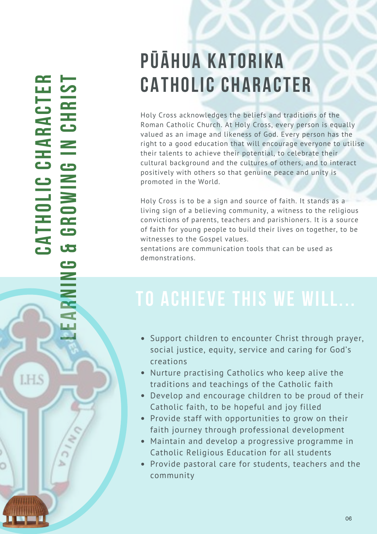### <span id="page-5-0"></span>**CA &T H O LIC C H A R A C T ERLEARNIN GGRO**Z<br>S **G IN CHRIS T**

**LHS** 

h

# **PŪĀHUA KATORIKA CATHOLIC CHARACTER**

Holy Cross acknowledges the beliefs and traditions of the Roman Catholic Church. At Holy Cross, every person is equally valued as an image and likeness of God. Every person has the right to a good education that will encourage everyone to utilise their talents to achieve their potential, to celebrate their cultural background and the cultures of others, and to interact positively with others so that genuine peace and unity is promoted in the World.

Holy Cross is to be a sign and source of faith. It stands as a living sign of a believing community, a witness to the religious convictions of parents, teachers and parishioners. It is a source of faith for young people to build their lives on together, to be witnesses to the Gospel values.

sentations are communication tools that can be used as demonstrations.

- Support children to encounter Christ through prayer, social justice, equity, service and caring for God's creations
- Nurture practising Catholics who keep alive the traditions and teachings of the Catholic faith
- Develop and encourage children to be proud of their Catholic faith, to be hopeful and joy filled
- Provide staff with opportunities to grow on their faith journey through professional development
- Maintain and develop a progressive programme in Catholic Religious Education for all students
- Provide pastoral care for students, teachers and the community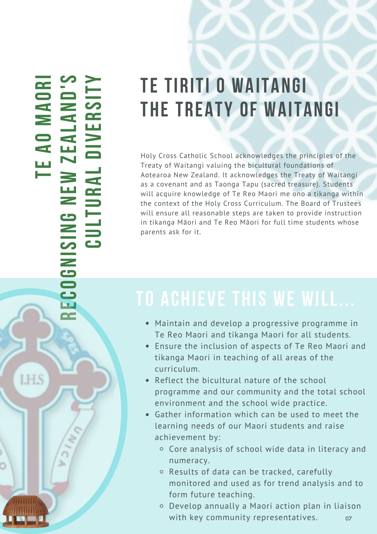<span id="page-6-0"></span>**YRI D'S** ー<br>SI **OANRAMELDIV OAAEZELTWAERNUTGLNISIN UCGOCERLHS** h

# **TE TIRITI O WAITANGI THE TREATY OF WAITANGI**

Holy Cross Catholic School acknowledges the principles of the Treaty of Waitangi valuing the bicultural foundations of Aotearoa New Zealand. It acknowledges the Treaty of Waitangi as a covenant and as Taonga Tapu (sacred treasure). Students will acquire knowledge of Te Reo Maori me ono a tikanga within the context of the Holy Cross Curriculum. The Board of Trustees will ensure all reasonable steps are taken to provide instruction in tikanga Māori and Te Reo Māori for full time students whose parents ask for it.

- Maintain and develop a progressive programme in Te Reo Maori and tikanga Maori for all students.
- Ensure the inclusion of aspects of Te Reo Maori and tikanga Maori in teaching of all areas of the curriculum.
- Reflect the bicultural nature of the school programme and our community and the total school environment and the school wide practice.
- Gather information which can be used to meet the learning needs of our Maori students and raise achievement by:
	- Core analysis of school wide data in literacy and numeracy.
	- Results of data can be tracked, carefully monitored and used as for trend analysis and to form future teaching.
	- Develop annually a Maori action plan in liaison with key community representatives. 07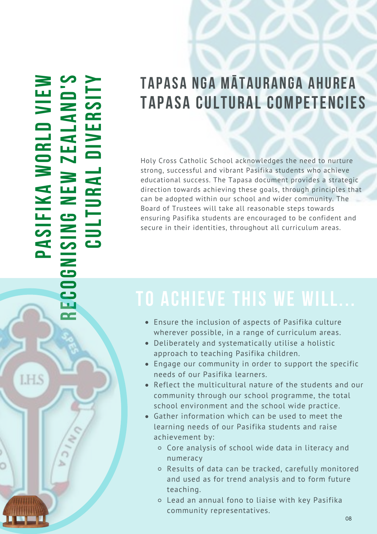### <span id="page-7-0"></span>**PASIFIK AWORLDVIE WECOGNISIN GNEWZEALAND'S CULTURALDIV ERSIT Y**

**R**

h

**LHS** 

## **TAPASA NGA MĀTAURANGA AHUREA TAPASA CULTURAL COMPETENCIES**

Holy Cross Catholic School acknowledges the need to nurture strong, successful and vibrant Pasifika students who achieve educational success. The Tapasa document provides a strategic direction towards achieving these goals, through principles that can be adopted within our school and wider community. The Board of Trustees will take all reasonable steps towards ensuring Pasifika students are encouraged to be confident and secure in their identities, throughout all curriculum areas.

- Ensure the inclusion of aspects of Pasifika culture wherever possible, in a range of curriculum areas.
- Deliberately and systematically utilise a holistic approach to teaching Pasifika children.
- Engage our community in order to support the specific needs of our Pasifika learners.
- Reflect the multicultural nature of the students and our community through our school programme, the total school environment and the school wide practice.
- Gather information which can be used to meet the learning needs of our Pasifika students and raise achievement by:
	- Core analysis of school wide data in literacy and numeracy
	- Results of data can be tracked, carefully monitored and used as for trend analysis and to form future teaching.
	- Lead an annual fono to liaise with key Pasifika community representatives.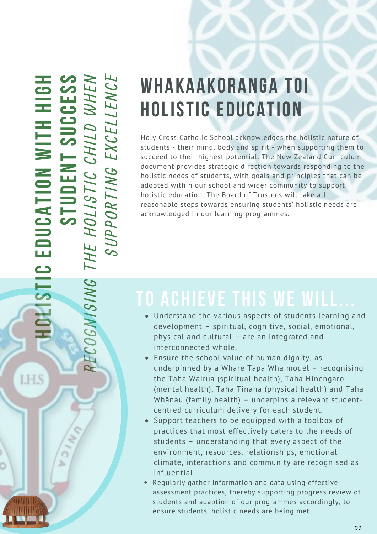<span id="page-8-0"></span>**HOLIS TIC EDUCATIO NWIT HHIG HSTUDENTSUCCESS**E  $\mathbf C$ OG $\geq$  $\overline{\phantom{a}}$ S  $\overline{\phantom{a}}$  $\geq$ GTH E H<br>H O $\overline{\phantom{a}}$ **In the United States** STI  $\bm{\mathcal{C}}$  $\bm{\mathcal{C}}$ H <u>In the set of the set of the set of the set of the set of the set of the set of the set of the set of the set of the set of the set of the set of the set of the set of the set of the set of the set of the set of the set o</u>  $\overline{\phantom{a}}$ D  ${\mathcal{Z}}$ H E  $\geq$  : S $\boldsymbol{\mathcal{C}}$  $\mathbf{p}$  $\mathbf{p}$ OR TI  $\geq$ GEX  $\boldsymbol{\mathcal{C}}$ E  $\blacktriangle$  $\overline{\phantom{0}}$ E  $\geq$  $\bm{\mathsf{C}}$ E

R

**LHS** 

b.

# **WHAKAAKORANGA TOI HOLISTIC EDUCATION**

Holy Cross Catholic School acknowledges the holistic nature of students - their mind, body and spirit - when supporting them to succeed to their highest potential. The New Zealand Curriculum document provides strategic direction towards responding to the holistic needs of students, with goals and principles that can be adopted within our school and wider community to support holistic education. The Board of Trustees will take all reasonable steps towards ensuring students' holistic needs are acknowledged in our learning programmes.

- Understand the various aspects of students learning and development – spiritual, cognitive, social, emotional, physical and cultural – are an integrated and interconnected whole.
- Ensure the school value of human dignity, as underpinned by a Whare Tapa Wha model – recognising the Taha Wairua (spiritual health), Taha Hinengaro (mental health), Taha Tinana (physical health) and Taha Whānau (family health) – underpins a relevant studentcentred curriculum delivery for each student.
- Support teachers to be equipped with a toolbox of practices that most effectively caters to the needs of students – understanding that every aspect of the environment, resources, relationships, emotional climate, interactions and community are recognised as influential.
- Regularly gather information and data using effective assessment practices, thereby supporting progress review of students and adaption of our programmes accordingly, to ensure students' holistic needs are being met.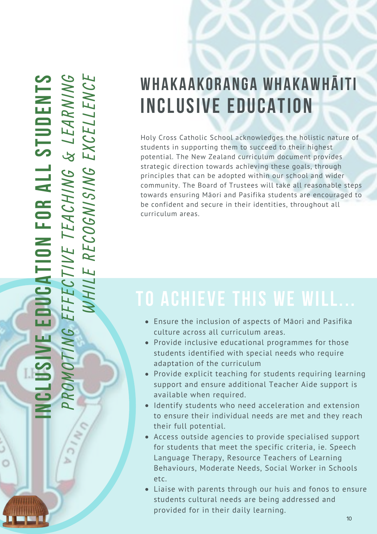<span id="page-9-0"></span>R O  $\boldsymbol{z}$ O $\Box$ N  $\overline{\mathbf{C}}$ E  $\overline{\phantom{a}}$ **F** E  $\bm{\mathsf{C}}$ TI  $\sum$  E  $\mathbf{E}^{-}$ TEA  $\bm{\mathsf{C}}$ H . **In the United States N** G  $\boldsymbol{\beta}$  $\overline{\phantom{0}}$ EA R  $\leq$  1 **In the United States** N : G $\mathcal{B}% _{M_{1},M_{2}}^{\alpha,\beta}(\varepsilon)$ H  $\overline{\phantom{a}}$  $\overline{\phantom{a}}$ R E  $\bm{\mathsf{C}}$ OG $\geq$ **In the United States** S**In the United States**  $\geq$ GEX  $\bm{\mathsf{C}}$ E  $\overline{\phantom{0}}$  $\overline{\phantom{a}}$ E  $\geq$  $\bm{\mathsf{C}}$ E **CLU SIV EEDUCATIO NFORALLSTUDENTS**

 $\mathcal{P}$ 

b.

**IN**

# **WHAKAAKORANGA WHAKAWHĀITI INCLUSIVE EDUCATION**

Holy Cross Catholic School acknowledges the holistic nature of students in supporting them to succeed to their highest potential. The New Zealand curriculum document provides strategic direction towards achieving these goals, through principles that can be adopted within our school and wider community. The Board of Trustees will take all reasonable steps towards ensuring Māori and Pasifika students are encouraged to be confident and secure in their identities, throughout all curriculum areas.

- Ensure the inclusion of aspects of Māori and Pasifika culture across all curriculum areas.
- Provide inclusive educational programmes for those students identified with special needs who require adaptation of the curriculum
- Provide explicit teaching for students requiring learning support and ensure additional Teacher Aide support is available when required.
- Identify students who need acceleration and extension to ensure their individual needs are met and they reach their full potential.
- Access outside agencies to provide specialised support for students that meet the specific criteria, ie. Speech Language Therapy, Resource Teachers of Learning Behaviours, Moderate Needs, Social Worker in Schools etc.
- Liaise with parents through our huis and fonos to ensure students cultural needs are being addressed and provided for in their daily learning.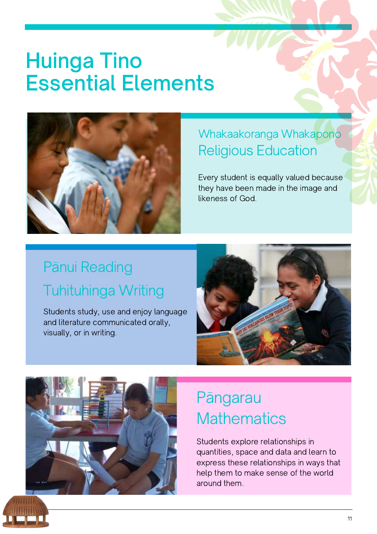# <span id="page-10-0"></span>Huinga Tino Essential Elements



### Whakaakoranga Whakapono Religious Education

Every student is equally valued because they have been made in the image and likeness of God.

## Tuhituhinga Writing Pānui Reading

Students study, use and enjoy language and literature communicated orally, visually, or in writing.





### Pāngarau **Mathematics**

Students explore relationships in quantities, space and data and learn to express these relationships in ways that help them to make sense of the world around them.

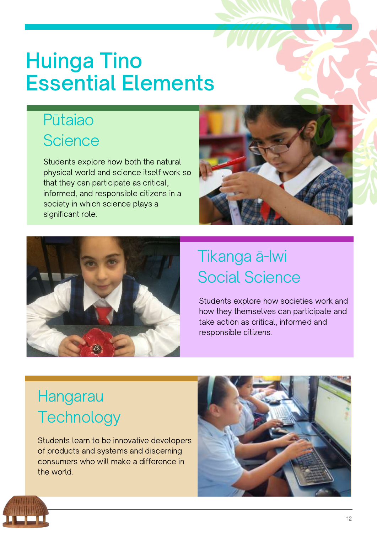# <span id="page-11-0"></span>Huinga Tino Essential Elements

### Pūtaiao **Science**

Students explore how both the natural physical world and science itself work so that they can participate as critical, informed, and responsible citizens in a society in which science plays a significant role.





## Tikanga ā-Iwi Social Science

Students explore how societies work and how they themselves can participate and take action as critical, informed and responsible citizens.

## Hangarau **Technology**

Students learn to be innovative developers of products and systems and discerning consumers who will make a difference in the world.